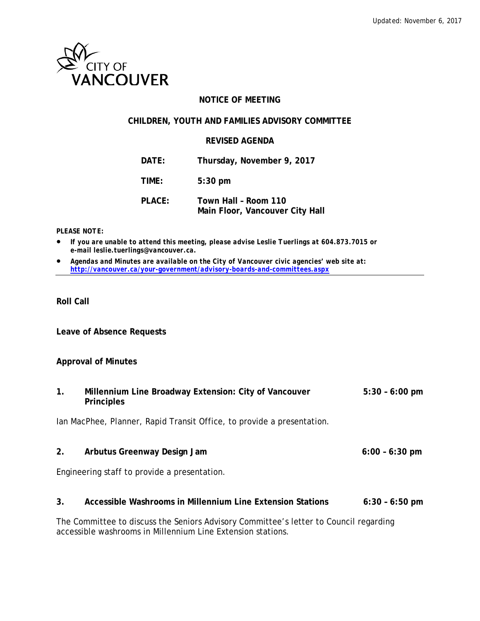

### **NOTICE OF MEETING**

#### **CHILDREN, YOUTH AND FAMILIES ADVISORY COMMITTEE**

#### **REVISED AGENDA**

**DATE: Thursday, November 9, 2017**

**TIME: 5:30 pm**

**PLACE: Town Hall – Room 110 Main Floor, Vancouver City Hall**

#### *PLEASE NOTE:*

• *If you are unable to attend this meeting, please advise Leslie Tuerlings at 604.873.7015 or e-mail leslie.tuerlings@vancouver.ca.*

• *Agendas and Minutes are available on the City of Vancouver civic agencies' web site at: <http://vancouver.ca/your-government/advisory-boards-and-committees.aspx>*

#### **Roll Call**

**Leave of Absence Requests**

#### **Approval of Minutes**

**1. Millennium Line Broadway Extension: City of Vancouver 5:30 – 6:00 pm Principles**

Ian MacPhee, Planner, Rapid Transit Office, to provide a presentation.

**2. Arbutus Greenway Design Jam 6:00 – 6:30 pm**

Engineering staff to provide a presentation.

#### **3. Accessible Washrooms in Millennium Line Extension Stations 6:30 – 6:50 pm**

The Committee to discuss the Seniors Advisory Committee's letter to Council regarding accessible washrooms in Millennium Line Extension stations.